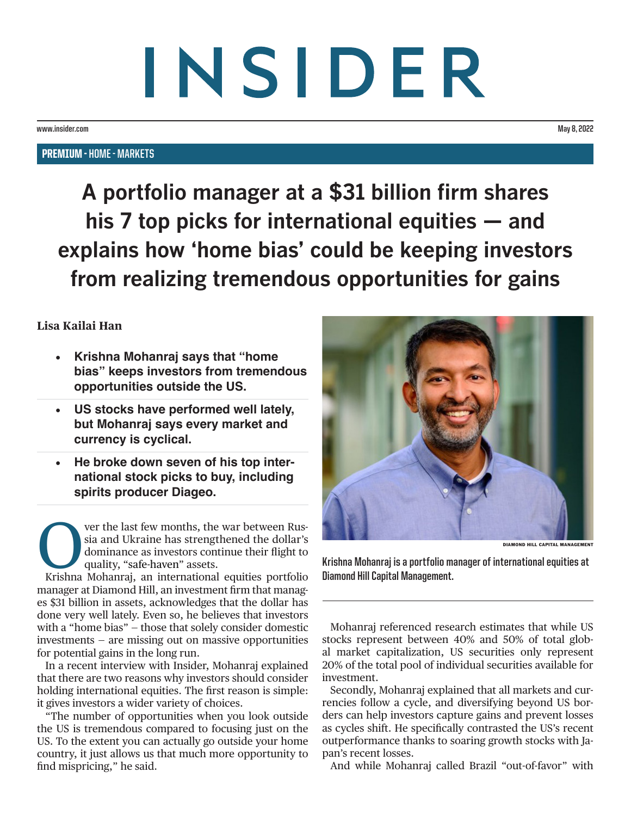# INSIDER

**www.insider.com May 8, 2022**

### PREMIUM - **HOME - MARKETS**

**A portfolio manager at a \$31 billion firm shares his 7 top picks for international equities — and explains how 'home bias' could be keeping investors from realizing tremendous opportunities for gains**

# **Lisa Kailai Han**

- **Krishna Mohanraj says that "home bias" keeps investors from tremendous opportunities outside the US.**
- **US stocks have performed well lately, but Mohanraj says every market and currency is cyclical.**
- **He broke down seven of his top international stock picks to buy, including spirits producer Diageo.**

**Over the last few months, the war between Rus-**<br>sia and Ukraine has strengthened the dollar's<br>dominance as investors continue their flight to<br>quality, "safe-haven" assets.<br>Krishna Mohanraj, an international equities portf sia and Ukraine has strengthened the dollar's dominance as investors continue their flight to quality, "safe-haven" assets.

manager at Diamond Hill, an investment firm that manages \$31 billion in assets, acknowledges that the dollar has done very well lately. Even so, he believes that investors with a "home bias" — those that solely consider domestic investments — are missing out on massive opportunities for potential gains in the long run.

In a recent interview with Insider, Mohanraj explained that there are two reasons why investors should consider holding international equities. The first reason is simple: it gives investors a wider variety of choices.

"The number of opportunities when you look outside the US is tremendous compared to focusing just on the US. To the extent you can actually go outside your home country, it just allows us that much more opportunity to find mispricing," he said.



DIAMOND HILL CAPITAL MANAGEME

**Krishna Mohanraj is a portfolio manager of international equities at Diamond Hill Capital Management.**

Mohanraj referenced research estimates that while US stocks represent between 40% and 50% of total global market capitalization, US securities only represent 20% of the total pool of individual securities available for investment.

Secondly, Mohanraj explained that all markets and currencies follow a cycle, and diversifying beyond US borders can help investors capture gains and prevent losses as cycles shift. He specifically contrasted the US's recent outperformance thanks to soaring growth stocks with Japan's recent losses.

And while Mohanraj called Brazil "out-of-favor" with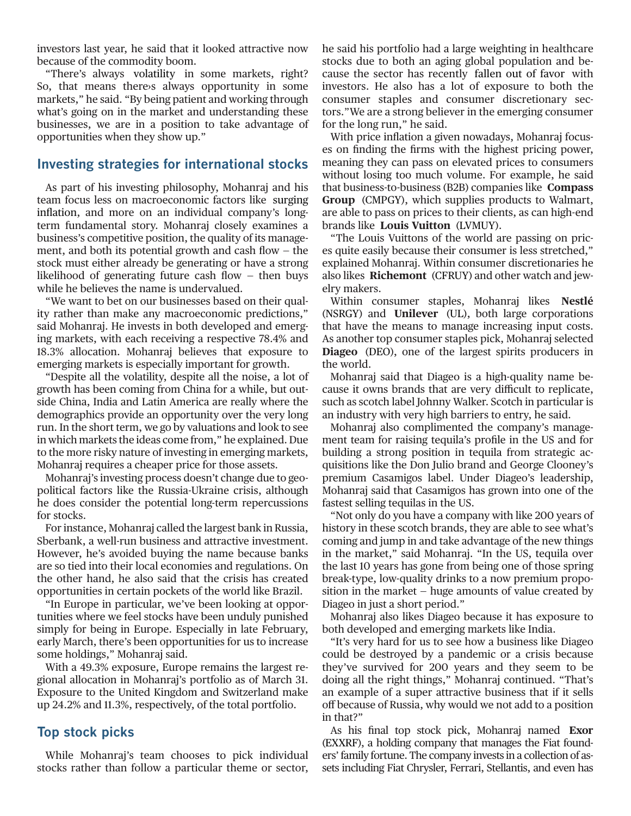investors last year, he said that it looked attractive now because of the commodity boom.

"There's always [volatility](https://www.businessinsider.com/personal-finance/what-is-volatility) in some markets, right? So, that means there›s always opportunity in some markets," he said. "By being patient and working through what's going on in the market and understanding these businesses, we are in a position to take advantage of opportunities when they show up."

### **Investing strategies for international stocks**

As part of his investing philosophy, Mohanraj and his team focus less on macroeconomic factors like [surging](https://www.businessinsider.com/inflation-cpi-march-price-growth-report-gas-food-costs-climbing-2022-4) [inflation,](https://www.businessinsider.com/inflation-cpi-march-price-growth-report-gas-food-costs-climbing-2022-4) and more on an individual company's longterm fundamental story. Mohanraj closely examines a business's competitive position, the quality of its management, and both its potential growth and cash flow  $-$  the stock must either already be generating or have a strong likelihood of generating future cash flow  $-$  then buys while he believes the name is undervalued.

"We want to bet on our businesses based on their quality rather than make any macroeconomic predictions," said Mohanraj. He invests in both developed and emerging markets, with each receiving a respective 78.4% and 18.3% allocation. Mohanraj believes that exposure to emerging markets is especially important for growth.

"Despite all the volatility, despite all the noise, a lot of growth has been coming from China for a while, but outside China, India and Latin America are really where the demographics provide an opportunity over the very long run. In the short term, we go by valuations and look to see in which markets the ideas come from," he explained. Due to the more risky nature of investing in emerging markets, Mohanraj requires a cheaper price for those assets.

Mohanraj's investing process doesn't change due to geopolitical factors like the Russia-Ukraine crisis, although he does consider the potential long-term repercussions for stocks.

For instance, Mohanraj called the largest bank in Russia, Sberbank, a well-run business and attractive investment. However, he's avoided buying the name because banks are so tied into their local economies and regulations. On the other hand, he also said that the crisis has created opportunities in certain pockets of the world like Brazil.

"In Europe in particular, we've been looking at opportunities where we feel stocks have been unduly punished simply for being in Europe. Especially in late February, early March, there's been opportunities for us to increase some holdings," Mohanraj said.

With a 49.3% exposure, Europe remains the largest regional allocation in Mohanraj's portfolio as of March 31. Exposure to the United Kingdom and Switzerland make up 24.2% and 11.3%, respectively, of the total portfolio.

## **Top stock picks**

While Mohanraj's team chooses to pick individual stocks rather than follow a particular theme or sector, he said his portfolio had a large weighting in healthcare stocks due to both an aging global population and because the sector has recently [fallen out of favor](https://www.businessinsider.com/biopharma-stocks-to-buy-market-outperformance-bank-of-america-2022-4) with investors. He also has a lot of exposure to both the consumer staples and consumer discretionary sectors."We are a strong believer in the emerging consumer for the long run," he said.

With price inflation a given nowadays, Mohanraj focuses on finding the firms with the highest pricing power, meaning they can pass on elevated prices to consumers without losing too much volume. For example, he said that business-to-business (B2B) companies like **Compass Group** ([CMPGY](https://markets.businessinsider.com/stocks/cmpgy-stock)), which supplies products to Walmart, are able to pass on prices to their clients, as can high-end brands like **Louis Vuitton** [\(LVMUY\)](https://markets.businessinsider.com/stocks/lvmuy-stock).

"The Louis Vuittons of the world are passing on prices quite easily because their consumer is less stretched," explained Mohanraj. Within consumer discretionaries he also likes **Richemont** [\(CFRUY](https://markets.businessinsider.com/stocks/cfruy-stock)) and other watch and jewelry makers.

Within consumer staples, Mohanraj likes **Nestlé** [\(NSRGY\)](https://markets.businessinsider.com/stocks/nsrgy-stock) and **Unilever** ([UL\)](https://markets.businessinsider.com/stocks/ul-stock), both large corporations that have the means to manage increasing input costs. As another top consumer staples pick, Mohanraj selected **Diageo** [\(DEO\)](https://markets.businessinsider.com/stocks/deo-stock), one of the largest spirits producers in the world.

Mohanraj said that Diageo is a high-quality name because it owns brands that are very difficult to replicate, such as scotch label Johnny Walker. Scotch in particular is an industry with very high barriers to entry, he said.

Mohanraj also complimented the company's management team for raising tequila's profile in the US and for building a strong position in tequila from strategic acquisitions like the Don Julio brand and George Clooney's premium Casamigos label. Under Diageo's leadership, Mohanraj said that Casamigos has grown into one of the fastest selling tequilas in the US.

"Not only do you have a company with like 200 years of history in these scotch brands, they are able to see what's coming and jump in and take advantage of the new things in the market," said Mohanraj. "In the US, tequila over the last 10 years has gone from being one of those spring break-type, low-quality drinks to a now premium proposition in the market — huge amounts of value created by Diageo in just a short period."

Mohanraj also likes Diageo because it has exposure to both developed and emerging markets like India.

"It's very hard for us to see how a business like Diageo could be destroyed by a pandemic or a crisis because they've survived for 200 years and they seem to be doing all the right things," Mohanraj continued. "That's an example of a super attractive business that if it sells off because of Russia, why would we not add to a position in that?"

As his final top stock pick, Mohanraj named **Exor** [\(EXXRF](https://markets.businessinsider.com/stocks/exxrf-stock)), a holding company that manages the Fiat founders' family fortune. The company invests in a collection of assets including Fiat Chrysler, Ferrari, Stellantis, and even has